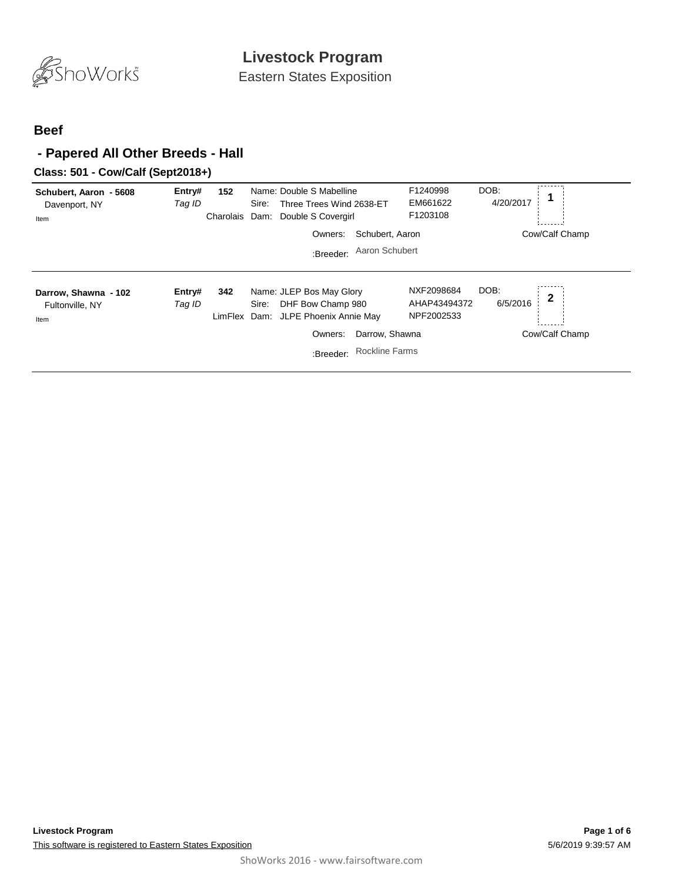

Eastern States Exposition

#### **Beef**

## **- Papered All Other Breeds - Hall**

#### **Class: 501 - Cow/Calf (Sept2018+)**

| Schubert, Aaron - 5608<br>Davenport, NY<br>Item | Entry#<br>Tag ID | 152<br>Charolais | Name: Double S Mabelline<br>Three Trees Wind 2638-ET<br>Sire:<br>Dam:<br>Double S Covergirl<br>Owners: | Schubert, Aaron       | F1240998<br>EM661622<br>F1203108         | DOB:<br>4/20/2017 | Cow/Calf Champ |
|-------------------------------------------------|------------------|------------------|--------------------------------------------------------------------------------------------------------|-----------------------|------------------------------------------|-------------------|----------------|
|                                                 |                  |                  | :Breeder:                                                                                              | Aaron Schubert        |                                          |                   |                |
| Darrow, Shawna - 102<br>Fultonville, NY<br>Item | Entry#<br>Tag ID | 342              | Name: JLEP Bos May Glory<br>DHF Bow Champ 980<br>Sire:<br>LimFlex Dam: JLPE Phoenix Annie May          |                       | NXF2098684<br>AHAP43494372<br>NPF2002533 | DOB:<br>6/5/2016  | $\mathbf 2$    |
|                                                 |                  |                  | Owners:                                                                                                | Darrow, Shawna        |                                          |                   | Cow/Calf Champ |
|                                                 |                  |                  | :Breeder:                                                                                              | <b>Rockline Farms</b> |                                          |                   |                |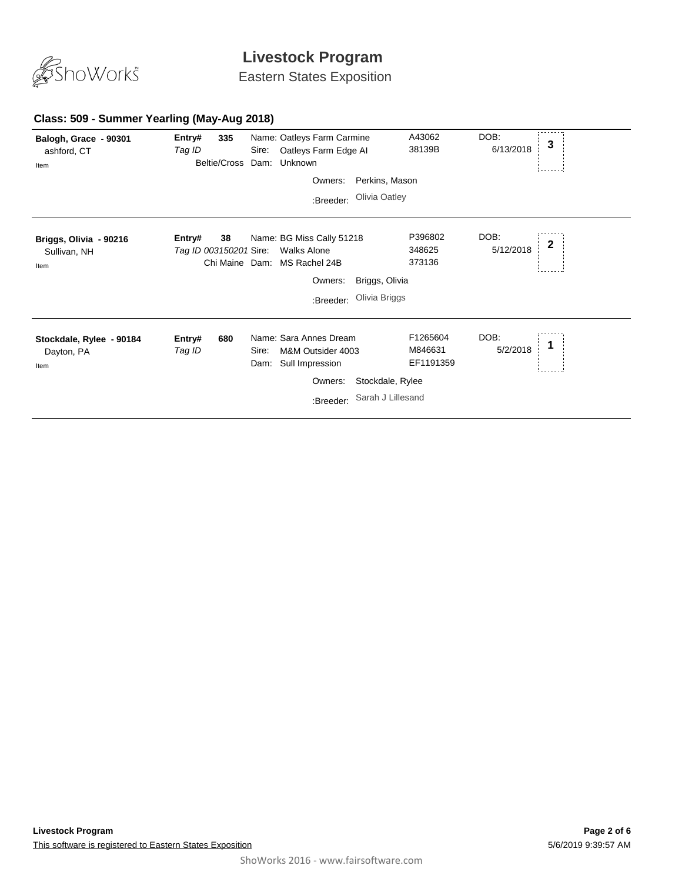

Eastern States Exposition

#### **Class: 509 - Summer Yearling (May-Aug 2018)**

| Balogh, Grace - 90301<br>ashford, CT<br>Item   | Entry#<br>Tag ID                 | 335<br>Beltie/Cross | Sire:         | Name: Oatleys Farm Carmine<br>Oatleys Farm Edge Al<br>Dam: Unknown    |                   | A43062<br>38139B                 | DOB:<br>6/13/2018 | 3 |
|------------------------------------------------|----------------------------------|---------------------|---------------|-----------------------------------------------------------------------|-------------------|----------------------------------|-------------------|---|
|                                                |                                  |                     |               | Owners:                                                               | Perkins, Mason    |                                  |                   |   |
|                                                |                                  |                     |               | :Breeder:                                                             | Olivia Oatley     |                                  |                   |   |
| Briggs, Olivia - 90216<br>Sullivan, NH<br>Item | Entry#<br>Tag ID 003150201 Sire: | 38<br>Chi Maine     |               | Name: BG Miss Cally 51218<br><b>Walks Alone</b><br>Dam: MS Rachel 24B |                   | P396802<br>348625<br>373136      | DOB:<br>5/12/2018 | 2 |
|                                                |                                  |                     |               | Owners:                                                               | Briggs, Olivia    |                                  |                   |   |
|                                                |                                  |                     |               | :Breeder:                                                             | Olivia Briggs     |                                  |                   |   |
| Stockdale, Rylee - 90184<br>Dayton, PA<br>Item | Entry#<br>Tag ID                 | 680                 | Sire:<br>Dam: | Name: Sara Annes Dream<br>M&M Outsider 4003<br>Sull Impression        |                   | F1265604<br>M846631<br>EF1191359 | DOB:<br>5/2/2018  |   |
|                                                |                                  |                     |               | Owners:                                                               | Stockdale, Rylee  |                                  |                   |   |
|                                                |                                  |                     |               | :Breeder:                                                             | Sarah J Lillesand |                                  |                   |   |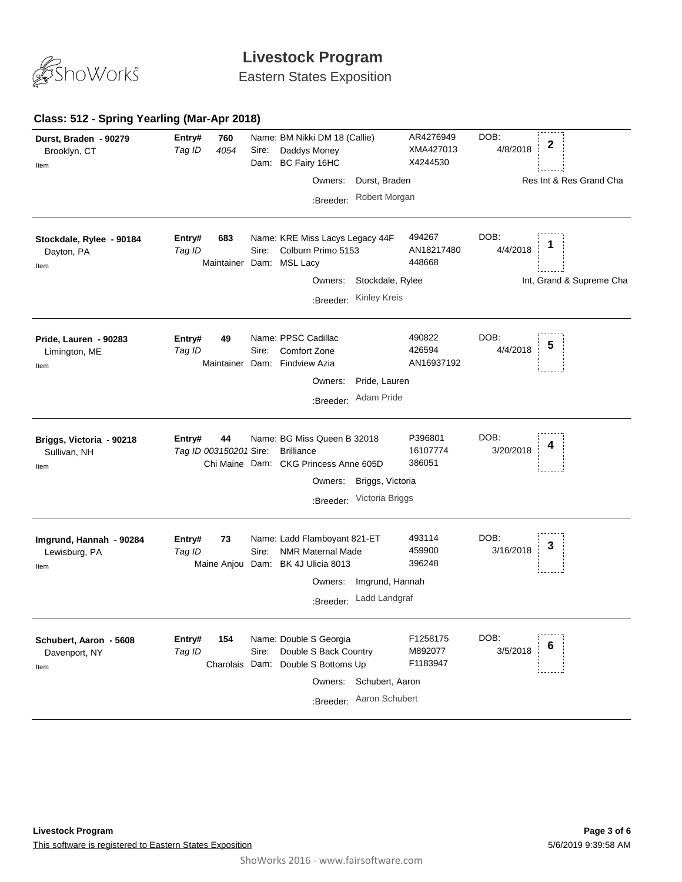

Eastern States Exposition

### **Class: 512 - Spring Yearling (Mar-Apr 2018)**

| Durst, Braden - 90279<br>Brooklyn, CT<br>Item    | 760<br>Entry#<br>4054<br>Tag ID        | Name: BM Nikki DM 18 (Callie)<br>Sire:<br>Daddys Money<br>BC Fairy 16HC<br>Dam:<br>Owners:<br>Durst, Braden<br>Robert Morgan<br>:Breeder:                           | AR4276949<br>XMA427013<br>X4244530 | DOB:<br>2<br>4/8/2018<br>Res Int & Res Grand Cha |
|--------------------------------------------------|----------------------------------------|---------------------------------------------------------------------------------------------------------------------------------------------------------------------|------------------------------------|--------------------------------------------------|
| Stockdale, Rylee - 90184<br>Dayton, PA<br>Item   | Entry#<br>683<br>Tag ID<br>Maintainer  | Name: KRE Miss Lacys Legacy 44F<br>Colburn Primo 5153<br>Sire:<br>Dam: MSL Lacy<br>Stockdale, Rylee<br>Owners:<br><b>Kinley Kreis</b><br>:Breeder:                  | 494267<br>AN18217480<br>448668     | DOB:<br>4/4/2018<br>Int, Grand & Supreme Cha     |
| Pride, Lauren - 90283<br>Limington, ME<br>Item   | 49<br>Entry#<br>Tag ID                 | Name: PPSC Cadillac<br>Comfort Zone<br>Sire:<br>Maintainer Dam: Findview Azia<br>Pride, Lauren<br>Owners:<br>Adam Pride<br>:Breeder:                                | 490822<br>426594<br>AN16937192     | DOB:<br>5<br>4/4/2018                            |
| Briggs, Victoria - 90218<br>Sullivan, NH<br>Item | 44<br>Entry#<br>Tag ID 003150201 Sire: | Name: BG Miss Queen B 32018<br><b>Brilliance</b><br>Chi Maine Dam: CKG Princess Anne 605D<br>Owners:<br>Briggs, Victoria<br>Victoria Briggs<br>:Breeder:            | P396801<br>16107774<br>386051      | DOB:<br>3/20/2018                                |
| Imgrund, Hannah - 90284<br>Lewisburg, PA<br>Item | 73<br>Entry#<br>Tag ID                 | Name: Ladd Flamboyant 821-ET<br>Sire:<br><b>NMR Maternal Made</b><br>Maine Anjou Dam: BK 4J Ulicia 8013<br>Imgrund, Hannah<br>Owners:<br>Ladd Landgraf<br>:Breeder: | 493114<br>459900<br>396248         | DOB:<br>3<br>3/16/2018                           |
| Schubert, Aaron - 5608<br>Davenport, NY<br>Item  | Entry#<br>154<br>Tag ID                | Name: Double S Georgia<br>Double S Back Country<br>Sire:<br>Charolais Dam: Double S Bottoms Up<br>Owners:<br>Schubert, Aaron<br>Aaron Schubert<br>:Breeder:         | F1258175<br>M892077<br>F1183947    | DOB:<br>6<br>3/5/2018                            |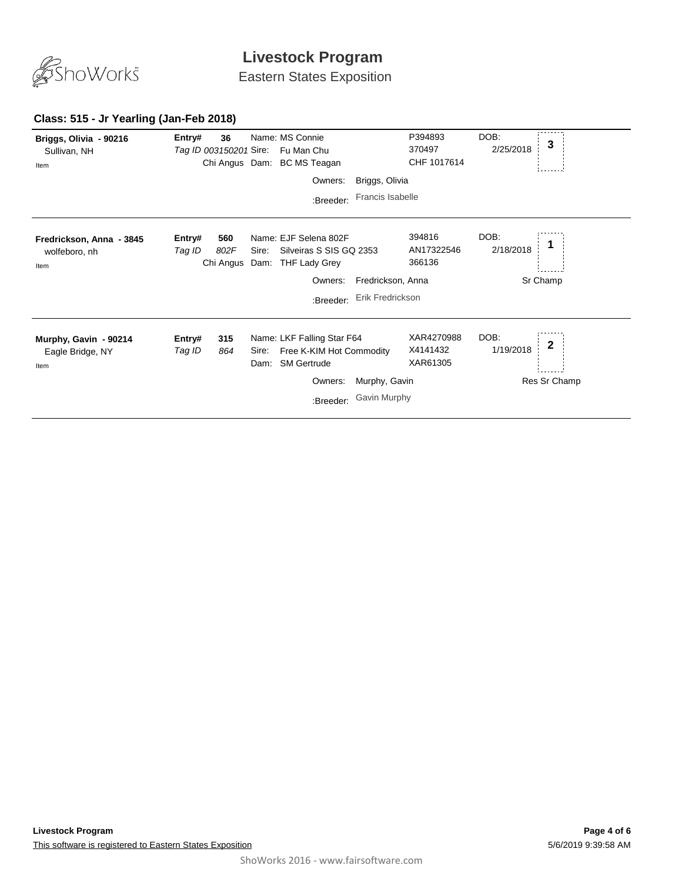

Eastern States Exposition

#### **Class: 515 - Jr Yearling (Jan-Feb 2018)**

| Briggs, Olivia - 90216<br>Sullivan, NH<br>Item    | Entry#<br>Tag ID 003150201 Sire: | 36                       |               | Name: MS Connie<br>Fu Man Chu<br>Chi Angus Dam: BC MS Teagan                                       |                               | P394893<br>370497<br>CHF 1017614   | DOB:<br>2/25/2018 | 3                            |
|---------------------------------------------------|----------------------------------|--------------------------|---------------|----------------------------------------------------------------------------------------------------|-------------------------------|------------------------------------|-------------------|------------------------------|
|                                                   |                                  |                          |               | Owners:                                                                                            | Briggs, Olivia                |                                    |                   |                              |
|                                                   |                                  |                          |               | :Breeder:                                                                                          | Francis Isabelle              |                                    |                   |                              |
| Fredrickson, Anna - 3845<br>wolfeboro, nh<br>Item | Entry#<br>Tag ID                 | 560<br>802F<br>Chi Angus | Sire:<br>Dam: | Name: EJF Selena 802F<br>Silveiras S SIS GQ 2353<br><b>THF Lady Grey</b>                           |                               | 394816<br>AN17322546<br>366136     | DOB:<br>2/18/2018 |                              |
|                                                   |                                  |                          |               | Owners:                                                                                            | Fredrickson, Anna             |                                    |                   | Sr Champ                     |
|                                                   |                                  |                          |               | :Breeder:                                                                                          | Erik Fredrickson              |                                    |                   |                              |
| Murphy, Gavin - 90214<br>Eagle Bridge, NY<br>Item | Entry#<br>Tag ID                 | 315<br>864               | Sire:         | Name: LKF Falling Star F64<br>Free K-KIM Hot Commodity<br>Dam: SM Gertrude<br>Owners:<br>:Breeder: | Murphy, Gavin<br>Gavin Murphy | XAR4270988<br>X4141432<br>XAR61305 | DOB:<br>1/19/2018 | $\mathbf{2}$<br>Res Sr Champ |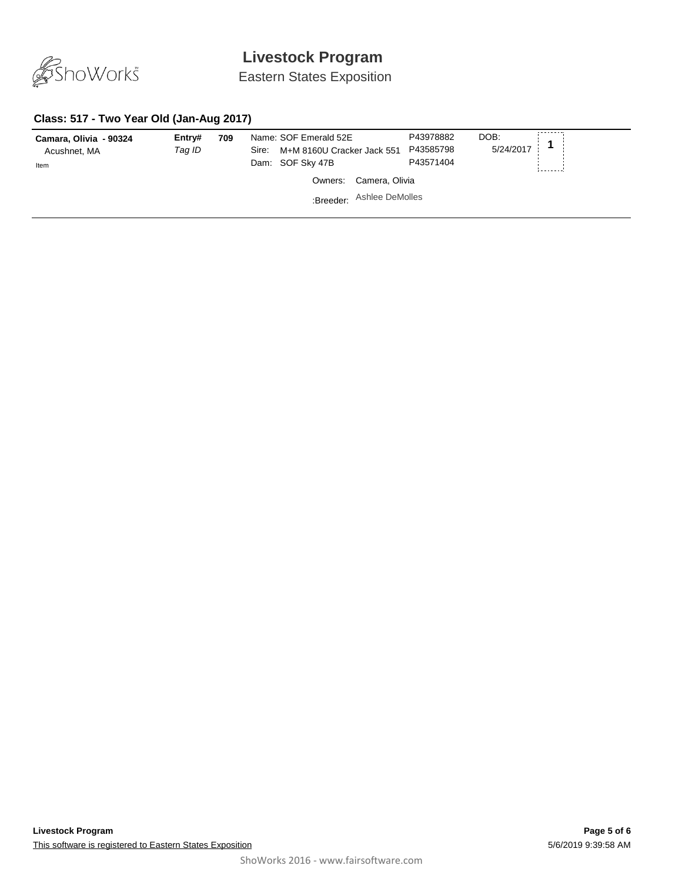

Eastern States Exposition

### **Class: 517 - Two Year Old (Jan-Aug 2017)**

| Camara, Olivia - 90324<br>Acushnet, MA<br>Item | Entry#<br>Tag ID | 709 | Name: SOF Emerald 52E<br>M+M 8160U Cracker Jack 551<br>Sire:<br>Dam: SOF Sky 47B |                | P43978882<br>P43585798<br>P43571404 | DOB:<br>5/24/2017 |  |
|------------------------------------------------|------------------|-----|----------------------------------------------------------------------------------|----------------|-------------------------------------|-------------------|--|
|                                                |                  |     | Owners:                                                                          | Camera, Olivia |                                     |                   |  |
|                                                |                  |     | :Breeder: Ashlee DeMolles                                                        |                |                                     |                   |  |
|                                                |                  |     |                                                                                  |                |                                     |                   |  |